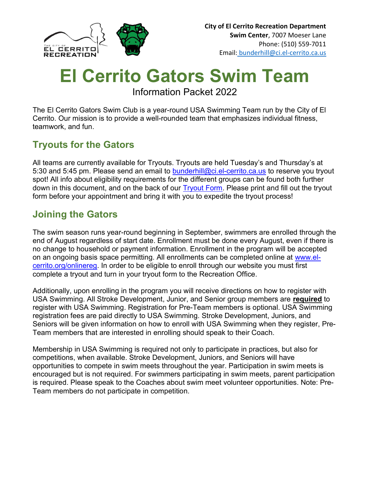

# El Cerrito Gators Swim Team

Information Packet 2022

The El Cerrito Gators Swim Club is a year-round USA Swimming Team run by the City of El Cerrito. Our mission is to provide a well-rounded team that emphasizes individual fitness, teamwork, and fun.

# Tryouts for the Gators

All teams are currently available for Tryouts. Tryouts are held Tuesday's and Thursday's at 5:30 and 5:45 pm. Please send an email to bunderhill@ci.el-cerrito.ca.us to reserve you tryout spot! All info about eligibility requirements for the different groups can be found both further down in this document, and on the back of our Tryout Form. Please print and fill out the tryout form before your appointment and bring it with you to expedite the tryout process!

## Joining the Gators

The swim season runs year-round beginning in September, swimmers are enrolled through the end of August regardless of start date. Enrollment must be done every August, even if there is no change to household or payment information. Enrollment in the program will be accepted on an ongoing basis space permitting. All enrollments can be completed online at www.elcerrito.org/onlinereg. In order to be eligible to enroll through our website you must first complete a tryout and turn in your tryout form to the Recreation Office.

Additionally, upon enrolling in the program you will receive directions on how to register with USA Swimming. All Stroke Development, Junior, and Senior group members are required to register with USA Swimming. Registration for Pre-Team members is optional. USA Swimming registration fees are paid directly to USA Swimming. Stroke Development, Juniors, and Seniors will be given information on how to enroll with USA Swimming when they register, Pre-Team members that are interested in enrolling should speak to their Coach.

Membership in USA Swimming is required not only to participate in practices, but also for competitions, when available. Stroke Development, Juniors, and Seniors will have opportunities to compete in swim meets throughout the year. Participation in swim meets is encouraged but is not required. For swimmers participating in swim meets, parent participation is required. Please speak to the Coaches about swim meet volunteer opportunities. Note: Pre-Team members do not participate in competition.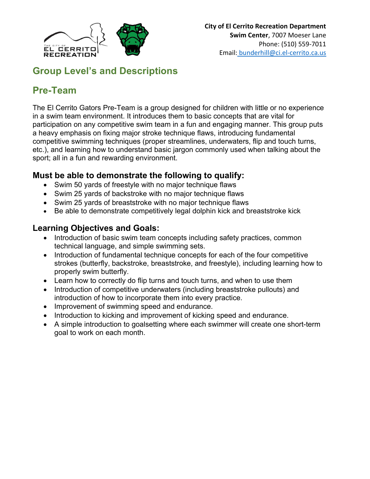

## Group Level's and Descriptions

# Pre-Team

The El Cerrito Gators Pre-Team is a group designed for children with little or no experience in a swim team environment. It introduces them to basic concepts that are vital for participation on any competitive swim team in a fun and engaging manner. This group puts a heavy emphasis on fixing major stroke technique flaws, introducing fundamental competitive swimming techniques (proper streamlines, underwaters, flip and touch turns, etc.), and learning how to understand basic jargon commonly used when talking about the sport; all in a fun and rewarding environment.

## Must be able to demonstrate the following to qualify:

- Swim 50 yards of freestyle with no major technique flaws
- Swim 25 yards of backstroke with no major technique flaws
- Swim 25 yards of breaststroke with no major technique flaws
- Be able to demonstrate competitively legal dolphin kick and breaststroke kick

## Learning Objectives and Goals:

- Introduction of basic swim team concepts including safety practices, common technical language, and simple swimming sets.
- Introduction of fundamental technique concepts for each of the four competitive strokes (butterfly, backstroke, breaststroke, and freestyle), including learning how to properly swim butterfly.
- Learn how to correctly do flip turns and touch turns, and when to use them
- Introduction of competitive underwaters (including breaststroke pullouts) and introduction of how to incorporate them into every practice.
- Improvement of swimming speed and endurance.
- Introduction to kicking and improvement of kicking speed and endurance.
- A simple introduction to goalsetting where each swimmer will create one short-term goal to work on each month.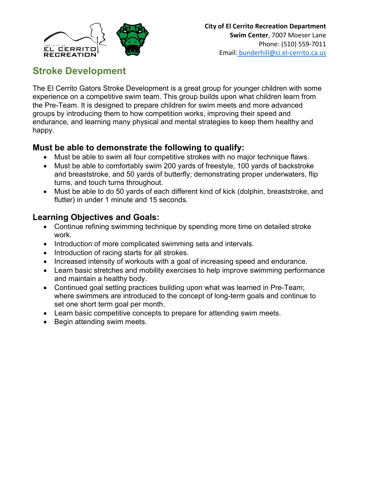

## Stroke Development

The El Cerrito Gators Stroke Development is a great group for younger children with some experience on a competitive swim team. This group builds upon what children learn from the Pre-Team. It is designed to prepare children for swim meets and more advanced groups by introducing them to how competition works, improving their speed and endurance, and learning many physical and mental strategies to keep them healthy and happy.

## Must be able to demonstrate the following to qualify:

- Must be able to swim all four competitive strokes with no major technique flaws.
- Must be able to comfortably swim 200 yards of freestyle, 100 yards of backstroke and breaststroke, and 50 yards of butterfly; demonstrating proper underwaters, flip turns, and touch turns throughout.
- Must be able to do 50 yards of each different kind of kick (dolphin, breaststroke, and flutter) in under 1 minute and 15 seconds.

#### Learning Objectives and Goals:

- Continue refining swimming technique by spending more time on detailed stroke work.
- Introduction of more complicated swimming sets and intervals.
- Introduction of racing starts for all strokes.
- Increased intensity of workouts with a goal of increasing speed and endurance.
- Learn basic stretches and mobility exercises to help improve swimming performance and maintain a healthy body.
- Continued goal setting practices building upon what was learned in Pre-Team; where swimmers are introduced to the concept of long-term goals and continue to set one short term goal per month.
- Learn basic competitive concepts to prepare for attending swim meets.
- Begin attending swim meets.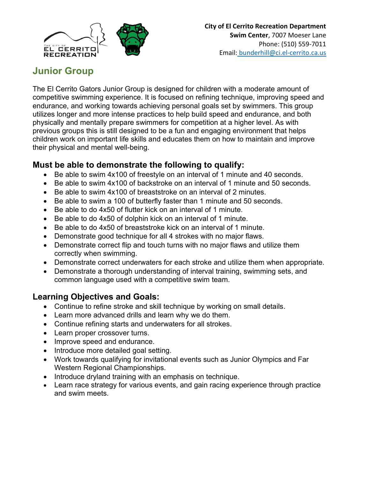

## Junior Group

The El Cerrito Gators Junior Group is designed for children with a moderate amount of competitive swimming experience. It is focused on refining technique, improving speed and endurance, and working towards achieving personal goals set by swimmers. This group utilizes longer and more intense practices to help build speed and endurance, and both physically and mentally prepare swimmers for competition at a higher level. As with previous groups this is still designed to be a fun and engaging environment that helps children work on important life skills and educates them on how to maintain and improve their physical and mental well-being.

#### Must be able to demonstrate the following to qualify:

- Be able to swim 4x100 of freestyle on an interval of 1 minute and 40 seconds.
- Be able to swim 4x100 of backstroke on an interval of 1 minute and 50 seconds.
- Be able to swim 4x100 of breaststroke on an interval of 2 minutes.
- Be able to swim a 100 of butterfly faster than 1 minute and 50 seconds.
- Be able to do 4x50 of flutter kick on an interval of 1 minute.
- Be able to do 4x50 of dolphin kick on an interval of 1 minute.
- Be able to do 4x50 of breaststroke kick on an interval of 1 minute.
- Demonstrate good technique for all 4 strokes with no major flaws.
- Demonstrate correct flip and touch turns with no major flaws and utilize them correctly when swimming.
- Demonstrate correct underwaters for each stroke and utilize them when appropriate.
- Demonstrate a thorough understanding of interval training, swimming sets, and common language used with a competitive swim team.

#### Learning Objectives and Goals:

- Continue to refine stroke and skill technique by working on small details.
- Learn more advanced drills and learn why we do them.
- Continue refining starts and underwaters for all strokes.
- Learn proper crossover turns.
- Improve speed and endurance.
- Introduce more detailed goal setting.
- Work towards qualifying for invitational events such as Junior Olympics and Far Western Regional Championships.
- Introduce dryland training with an emphasis on technique.
- Learn race strategy for various events, and gain racing experience through practice and swim meets.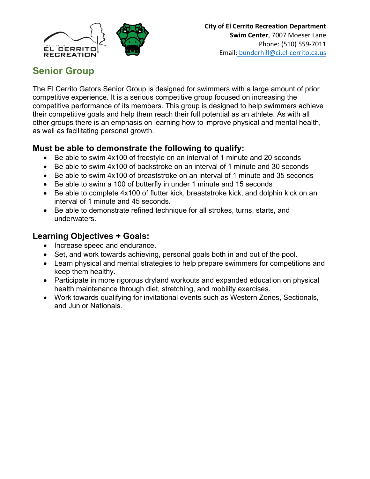

## Senior Group

The El Cerrito Gators Senior Group is designed for swimmers with a large amount of prior competitive experience. It is a serious competitive group focused on increasing the competitive performance of its members. This group is designed to help swimmers achieve their competitive goals and help them reach their full potential as an athlete. As with all other groups there is an emphasis on learning how to improve physical and mental health, as well as facilitating personal growth.

#### Must be able to demonstrate the following to qualify:

- Be able to swim 4x100 of freestyle on an interval of 1 minute and 20 seconds
- Be able to swim 4x100 of backstroke on an interval of 1 minute and 30 seconds
- Be able to swim 4x100 of breaststroke on an interval of 1 minute and 35 seconds
- Be able to swim a 100 of butterfly in under 1 minute and 15 seconds
- Be able to complete 4x100 of flutter kick, breaststroke kick, and dolphin kick on an interval of 1 minute and 45 seconds.
- Be able to demonstrate refined technique for all strokes, turns, starts, and underwaters.

## Learning Objectives + Goals:

- Increase speed and endurance.
- Set, and work towards achieving, personal goals both in and out of the pool.
- Learn physical and mental strategies to help prepare swimmers for competitions and keep them healthy.
- Participate in more rigorous dryland workouts and expanded education on physical health maintenance through diet, stretching, and mobility exercises.
- Work towards qualifying for invitational events such as Western Zones, Sectionals, and Junior Nationals.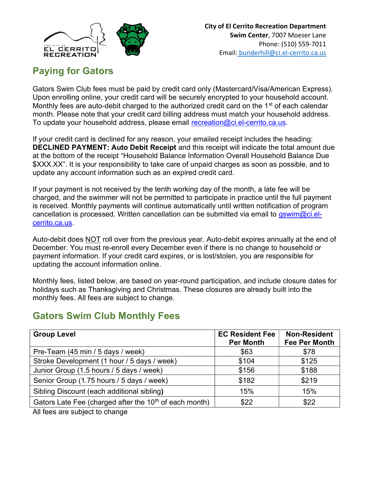

## Paying for Gators

Gators Swim Club fees must be paid by credit card only (Mastercard/Visa/American Express). Upon enrolling online, your credit card will be securely encrypted to your household account. Monthly fees are auto-debit charged to the authorized credit card on the  $1<sup>st</sup>$  of each calendar month. Please note that your credit card billing address must match your household address. To update your household address, please email recreation@ci.el-cerrito.ca.us.

If your credit card is declined for any reason, your emailed receipt includes the heading: DECLINED PAYMENT: Auto Debit Receipt and this receipt will indicate the total amount due at the bottom of the receipt "Household Balance Information Overall Household Balance Due \$XXX.XX". It is your responsibility to take care of unpaid charges as soon as possible, and to update any account information such as an expired credit card.

If your payment is not received by the tenth working day of the month, a late fee will be charged, and the swimmer will not be permitted to participate in practice until the full payment is received. Monthly payments will continue automatically until written notification of program cancellation is processed. Written cancellation can be submitted via email to gswim@ci.elcerrito.ca.us.

Auto-debit does NOT roll over from the previous year. Auto-debit expires annually at the end of December. You must re-enroll every December even if there is no change to household or payment information. If your credit card expires, or is lost/stolen, you are responsible for updating the account information online.

Monthly fees, listed below, are based on year-round participation, and include closure dates for holidays such as Thanksgiving and Christmas. These closures are already built into the monthly fees. All fees are subject to change.

## Gators Swim Club Monthly Fees

| <b>Group Level</b>                                                 | <b>EC Resident Fee</b><br><b>Per Month</b> | <b>Non-Resident</b><br><b>Fee Per Month</b> |
|--------------------------------------------------------------------|--------------------------------------------|---------------------------------------------|
| Pre-Team (45 min / 5 days / week)                                  | \$63                                       | \$78                                        |
| Stroke Development (1 hour / 5 days / week)                        | \$104                                      | \$125                                       |
| Junior Group (1.5 hours / 5 days / week)                           | \$156                                      | \$188                                       |
| Senior Group (1.75 hours / 5 days / week)                          | \$182                                      | \$219                                       |
| Sibling Discount (each additional sibling)                         | 15%                                        | 15%                                         |
| Gators Late Fee (charged after the 10 <sup>th</sup> of each month) | \$22                                       | \$22                                        |

All fees are subject to change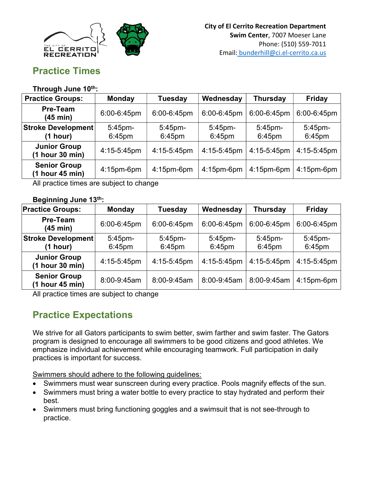

## Practice Times

#### Through June 10th:

| <b>Practice Groups:</b>                | <b>Monday</b>        | <b>Tuesday</b>          | Wednesday               | <b>Thursday</b>      | Friday                  |
|----------------------------------------|----------------------|-------------------------|-------------------------|----------------------|-------------------------|
| <b>Pre-Team</b><br>(45 min)            | 6:00-6:45pm          | 6:00-6:45pm             | 6:00-6:45pm             | 6:00-6:45pm          | 6:00-6:45pm             |
| <b>Stroke Development</b><br>(1 hour)  | 5:45pm-<br>$6:45$ pm | $5:45$ pm-<br>$6:45$ pm | $5:45$ pm-<br>$6:45$ pm | $5:45$ pm-<br>6:45pm | $5:45$ pm-<br>$6:45$ pm |
| <b>Junior Group</b><br>(1 hour 30 min) | 4:15-5:45pm          | 4:15-5:45pm             | 4:15-5:45pm             | 4:15-5:45pm          | 4:15-5:45pm             |
| <b>Senior Group</b><br>(1 hour 45 min) | $4:15$ pm-6pm        | $4:15$ pm-6pm           | $4:15$ pm-6pm           | 4:15pm-6pm           | $4:15$ pm-6pm           |

All practice times are subject to change

#### Beginning June 13th:

| <b>Practice Groups:</b>                | <b>Monday</b>     | <b>Tuesday</b>          | Wednesday            | <b>Thursday</b>      | <b>Friday</b>        |
|----------------------------------------|-------------------|-------------------------|----------------------|----------------------|----------------------|
| <b>Pre-Team</b><br>(45 min)            | 6:00-6:45pm       | 6:00-6:45pm             | 6:00-6:45pm          | 6:00-6:45pm          | 6:00-6:45pm          |
| <b>Stroke Development</b><br>(1 hour)  | 5:45pm-<br>6:45pm | $5:45$ pm-<br>$6:45$ pm | $5:45$ pm-<br>6:45pm | $5:45$ pm-<br>6:45pm | $5:45$ pm-<br>6:45pm |
| <b>Junior Group</b><br>(1 hour 30 min) | 4:15-5:45pm       | 4:15-5:45pm             | $4:15-5:45$ pm       | 4:15-5:45pm          | 4:15-5:45pm          |
| <b>Senior Group</b><br>(1 hour 45 min) | 8:00-9:45am       | 8:00-9:45am             | 8:00-9:45am          | 8:00-9:45am          | $4:15$ pm-6pm        |

All practice times are subject to change

## Practice Expectations

We strive for all Gators participants to swim better, swim farther and swim faster. The Gators program is designed to encourage all swimmers to be good citizens and good athletes. We emphasize individual achievement while encouraging teamwork. Full participation in daily practices is important for success.

Swimmers should adhere to the following guidelines:

- Swimmers must wear sunscreen during every practice. Pools magnify effects of the sun.
- Swimmers must bring a water bottle to every practice to stay hydrated and perform their best.
- Swimmers must bring functioning goggles and a swimsuit that is not see-through to practice.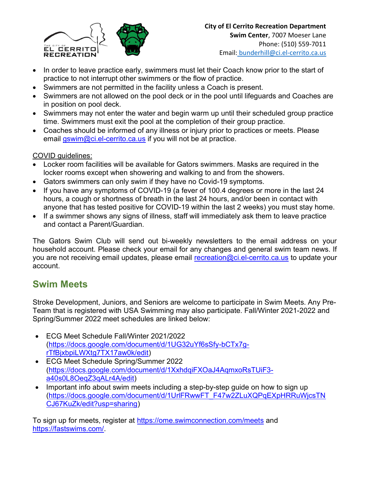

- In order to leave practice early, swimmers must let their Coach know prior to the start of practice to not interrupt other swimmers or the flow of practice.
- Swimmers are not permitted in the facility unless a Coach is present.
- Swimmers are not allowed on the pool deck or in the pool until lifeguards and Coaches are in position on pool deck.
- Swimmers may not enter the water and begin warm up until their scheduled group practice time. Swimmers must exit the pool at the completion of their group practice.
- Coaches should be informed of any illness or injury prior to practices or meets. Please email gswim@ci.el-cerrito.ca.us if you will not be at practice.

#### COVID guidelines:

- Locker room facilities will be available for Gators swimmers. Masks are required in the locker rooms except when showering and walking to and from the showers.
- Gators swimmers can only swim if they have no Covid-19 symptoms.
- If you have any symptoms of COVID-19 (a fever of 100.4 degrees or more in the last 24 hours, a cough or shortness of breath in the last 24 hours, and/or been in contact with anyone that has tested positive for COVID-19 within the last 2 weeks) you must stay home.
- If a swimmer shows any signs of illness, staff will immediately ask them to leave practice and contact a Parent/Guardian.

The Gators Swim Club will send out bi-weekly newsletters to the email address on your household account. Please check your email for any changes and general swim team news. If you are not receiving email updates, please email recreation@ci.el-cerrito.ca.us to update your account.

## Swim Meets

Stroke Development, Juniors, and Seniors are welcome to participate in Swim Meets. Any Pre-Team that is registered with USA Swimming may also participate. Fall/Winter 2021-2022 and Spring/Summer 2022 meet schedules are linked below:

- ECG Meet Schedule Fall/Winter 2021/2022 (https://docs.google.com/document/d/1UG32uYf6sSfy-bCTx7grTfBjxbpiLWXtg7TX17aw0k/edit)
- ECG Meet Schedule Spring/Summer 2022 (https://docs.google.com/document/d/1XxhdqiFXOaJ4AqmxoRsTUiF3 a40s0L8OeqZ3qALr4A/edit)
- Important info about swim meets including a step-by-step guide on how to sign up (https://docs.google.com/document/d/1UrlFRwwFT\_F47w2ZLuXQPqEXpHRRuWjcsTN CJ67KuZk/edit?usp=sharing)

To sign up for meets, register at https://ome.swimconnection.com/meets and https://fastswims.com/.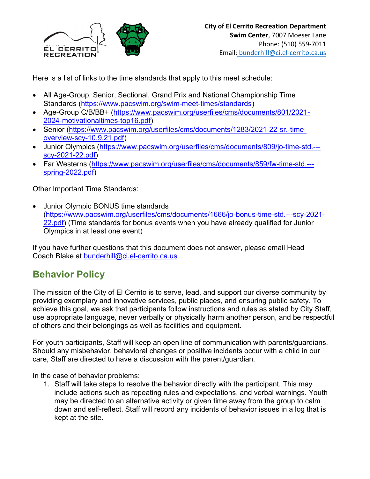

Here is a list of links to the time standards that apply to this meet schedule:

- All Age-Group, Senior, Sectional, Grand Prix and National Championship Time Standards (https://www.pacswim.org/swim-meet-times/standards)
- Age-Group C/B/BB+ (https://www.pacswim.org/userfiles/cms/documents/801/2021- 2024-motivationaltimes-top16.pdf)
- Senior (https://www.pacswim.org/userfiles/cms/documents/1283/2021-22-sr.-timeoverview-scy-10.9.21.pdf)
- Junior Olympics (https://www.pacswim.org/userfiles/cms/documents/809/jo-time-std.-- scy-2021-22.pdf)
- Far Westerns (https://www.pacswim.org/userfiles/cms/documents/859/fw-time-std.-- spring-2022.pdf)

Other Important Time Standards:

 Junior Olympic BONUS time standards (https://www.pacswim.org/userfiles/cms/documents/1666/jo-bonus-time-std.---scy-2021- 22.pdf) (Time standards for bonus events when you have already qualified for Junior Olympics in at least one event)

If you have further questions that this document does not answer, please email Head Coach Blake at bunderhill@ci.el-cerrito.ca.us

## Behavior Policy

The mission of the City of El Cerrito is to serve, lead, and support our diverse community by providing exemplary and innovative services, public places, and ensuring public safety. To achieve this goal, we ask that participants follow instructions and rules as stated by City Staff, use appropriate language, never verbally or physically harm another person, and be respectful of others and their belongings as well as facilities and equipment.

For youth participants, Staff will keep an open line of communication with parents/guardians. Should any misbehavior, behavioral changes or positive incidents occur with a child in our care, Staff are directed to have a discussion with the parent/guardian.

In the case of behavior problems:

1. Staff will take steps to resolve the behavior directly with the participant. This may include actions such as repeating rules and expectations, and verbal warnings. Youth may be directed to an alternative activity or given time away from the group to calm down and self-reflect. Staff will record any incidents of behavior issues in a log that is kept at the site.